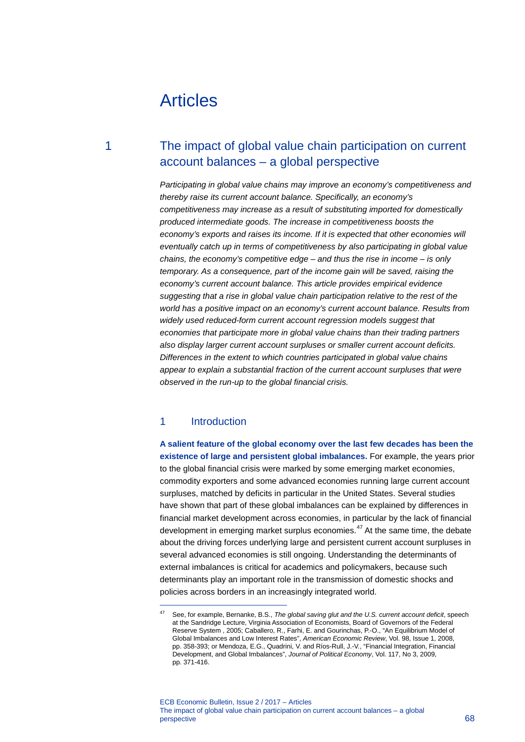# Articles

# 1 The impact of global value chain participation on current account balances – a global perspective

*Participating in global value chains may improve an economy's competitiveness and thereby raise its current account balance. Specifically, an economy's competitiveness may increase as a result of substituting imported for domestically produced intermediate goods. The increase in competitiveness boosts the economy's exports and raises its income. If it is expected that other economies will eventually catch up in terms of competitiveness by also participating in global value chains, the economy's competitive edge – and thus the rise in income – is only temporary. As a consequence, part of the income gain will be saved, raising the economy's current account balance. This article provides empirical evidence suggesting that a rise in global value chain participation relative to the rest of the world has a positive impact on an economy's current account balance. Results from widely used reduced-form current account regression models suggest that economies that participate more in global value chains than their trading partners also display larger current account surpluses or smaller current account deficits. Differences in the extent to which countries participated in global value chains appear to explain a substantial fraction of the current account surpluses that were observed in the run-up to the global financial crisis.*

## 1 Introduction

<span id="page-0-0"></span>-

**A salient feature of the global economy over the last few decades has been the existence of large and persistent global imbalances.** For example, the years prior to the global financial crisis were marked by some emerging market economies, commodity exporters and some advanced economies running large current account surpluses, matched by deficits in particular in the United States. Several studies have shown that part of these global imbalances can be explained by differences in financial market development across economies, in particular by the lack of financial development in emerging market surplus economies. $47$  $47$  At the same time, the debate about the driving forces underlying large and persistent current account surpluses in several advanced economies is still ongoing. Understanding the determinants of external imbalances is critical for academics and policymakers, because such determinants play an important role in the transmission of domestic shocks and policies across borders in an increasingly integrated world.

<sup>47</sup> See, for example, Bernanke, B.S., *The global saving glut and the U.S. current account deficit*, speech at the Sandridge Lecture, Virginia Association of Economists, Board of Governors of the Federal Reserve System , 2005; Caballero, R., Farhi, E. and Gourinchas, P.-O., "An Equilibrium Model of Global Imbalances and Low Interest Rates", *American Economic Review*, Vol. 98, Issue 1, 2008, pp. 358-393; or Mendoza, E.G., Quadrini, V. and Ríos-Rull, J.-V., "Financial Integration, Financial Development, and Global Imbalances", *Journal of Political Economy*, Vol. 117, No 3, 2009, pp. 371-416.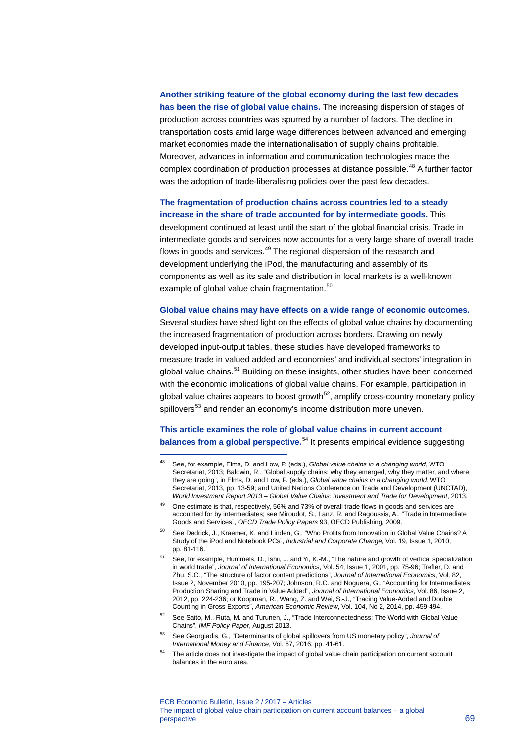## **Another striking feature of the global economy during the last few decades has been the rise of global value chains.** The increasing dispersion of stages of production across countries was spurred by a number of factors. The decline in transportation costs amid large wage differences between advanced and emerging market economies made the internationalisation of supply chains profitable. Moreover, advances in information and communication technologies made the complex coordination of production processes at distance possible. [4](#page-1-0)8 A further factor was the adoption of trade-liberalising policies over the past few decades.

#### **The fragmentation of production chains across countries led to a steady increase in the share of trade accounted for by intermediate goods.** This

development continued at least until the start of the global financial crisis. Trade in intermediate goods and services now accounts for a very large share of overall trade flows in goods and services.<sup>[4](#page-1-1)9</sup> The regional dispersion of the research and development underlying the iPod, the manufacturing and assembly of its components as well as its sale and distribution in local markets is a well-known example of global value chain fragmentation.<sup>[50](#page-1-2)</sup>

#### **Global value chains may have effects on a wide range of economic outcomes.**

Several studies have shed light on the effects of global value chains by documenting the increased fragmentation of production across borders. Drawing on newly developed input-output tables, these studies have developed frameworks to measure trade in valued added and economies' and individual sectors' integration in global value chains.<sup>[51](#page-1-3)</sup> Building on these insights, other studies have been concerned with the economic implications of global value chains. For example, participation in global value chains appears to boost growth<sup>[52](#page-1-4)</sup>, amplify cross-country monetary policy spillovers<sup>[53](#page-1-5)</sup> and render an economy's income distribution more uneven.

### **This article examines the role of global value chains in current account balances from a global perspective.** [5](#page-1-6)4 It presents empirical evidence suggesting

<span id="page-1-0"></span><sup>48</sup> See, for example, Elms, D. and Low, P. (eds.), *Global value chains in a changing world*, WTO Secretariat, 2013; Baldwin, R., "Global supply chains: why they emerged, why they matter, and where they are going", in Elms, D. and Low, P. (eds.), *Global value chains in a changing world*, WTO Secretariat, 2013, pp. 13-59; and United Nations Conference on Trade and Development (UNCTAD), *World Investment Report 2013 – Global Value Chains: Investment and Trade for Development*, 2013.

<span id="page-1-1"></span><sup>49</sup> One estimate is that, respectively, 56% and 73% of overall trade flows in goods and services are accounted for by intermediates; see Miroudot, S., Lanz, R. and Ragoussis, A., "Trade in Intermediate Goods and Services", *OECD Trade Policy Papers* 93, OECD Publishing, 2009.

<span id="page-1-2"></span><sup>50</sup> See Dedrick, J., Kraemer, K. and Linden, G., "Who Profits from Innovation in Global Value Chains? A Study of the iPod and Notebook PCs", *Industrial and Corporate Change*, Vol. 19, Issue 1, 2010, pp. 81-116.

<span id="page-1-3"></span><sup>51</sup> See, for example, Hummels, D., Ishii, J. and Yi, K.-M., "The nature and growth of vertical specialization in world trade", *Journal of International Economics*, Vol. 54, Issue 1, 2001, pp. 75-96; Trefler, D. and Zhu, S.C., "The structure of factor content predictions", *Journal of International Economics*, Vol. 82, Issue 2, November 2010, pp. 195-207; Johnson, R.C. and Noguera, G., "Accounting for Intermediates: Production Sharing and Trade in Value Added", *Journal of International Economics*, Vol. 86, Issue 2, 2012, pp. 224-236; or Koopman, R., Wang, Z. and Wei, S.-J., "Tracing Value-Added and Double Counting in Gross Exports", *American Economic Review*, Vol. 104, No 2, 2014, pp. 459-494.

<span id="page-1-4"></span><sup>52</sup> See Saito, M., Ruta, M. and Turunen, J., "Trade Interconnectedness: The World with Global Value Chains", *IMF Policy Paper*, August 2013.

<span id="page-1-5"></span><sup>53</sup> See Georgiadis, G., "Determinants of global spillovers from US monetary policy", *Journal of International Money and Finance*, Vol. 67, 2016, pp. 41-61.

<span id="page-1-6"></span>The article does not investigate the impact of global value chain participation on current account balances in the euro area.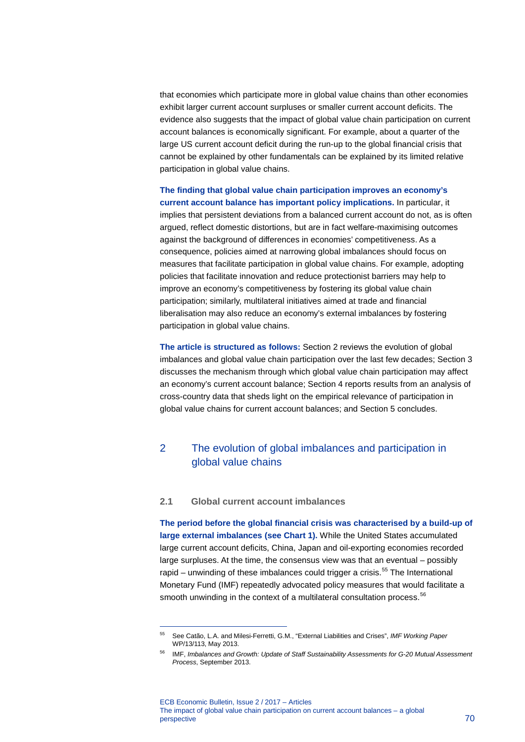that economies which participate more in global value chains than other economies exhibit larger current account surpluses or smaller current account deficits. The evidence also suggests that the impact of global value chain participation on current account balances is economically significant. For example, about a quarter of the large US current account deficit during the run-up to the global financial crisis that cannot be explained by other fundamentals can be explained by its limited relative participation in global value chains.

**The finding that global value chain participation improves an economy's current account balance has important policy implications.** In particular, it implies that persistent deviations from a balanced current account do not, as is often argued, reflect domestic distortions, but are in fact welfare-maximising outcomes against the background of differences in economies' competitiveness. As a consequence, policies aimed at narrowing global imbalances should focus on measures that facilitate participation in global value chains. For example, adopting policies that facilitate innovation and reduce protectionist barriers may help to improve an economy's competitiveness by fostering its global value chain participation; similarly, multilateral initiatives aimed at trade and financial liberalisation may also reduce an economy's external imbalances by fostering participation in global value chains.

**The article is structured as follows:** Section 2 reviews the evolution of global imbalances and global value chain participation over the last few decades; Section 3 discusses the mechanism through which global value chain participation may affect an economy's current account balance; Section 4 reports results from an analysis of cross-country data that sheds light on the empirical relevance of participation in global value chains for current account balances; and Section 5 concludes.

# 2 The evolution of global imbalances and participation in global value chains

#### **2.1 Global current account imbalances**

-

**The period before the global financial crisis was characterised by a build-up of large external imbalances (see Chart 1).** While the United States accumulated large current account deficits, China, Japan and oil-exporting economies recorded large surpluses. At the time, the consensus view was that an eventual – possibly rapid – unwinding of these imbalances could trigger a crisis. $55$  The International Monetary Fund (IMF) repeatedly advocated policy measures that would facilitate a smooth unwinding in the context of a multilateral consultation process.<sup>[56](#page-2-1)</sup>

<span id="page-2-0"></span><sup>55</sup> See Catão, L.A. and Milesi-Ferretti, G.M., "External Liabilities and Crises", *IMF Working Paper* WP/13/113, May 2013.

<span id="page-2-1"></span><sup>56</sup> IMF, *Imbalances and Growth: Update of Staff Sustainability Assessments for G-20 Mutual Assessment Process*, September 2013.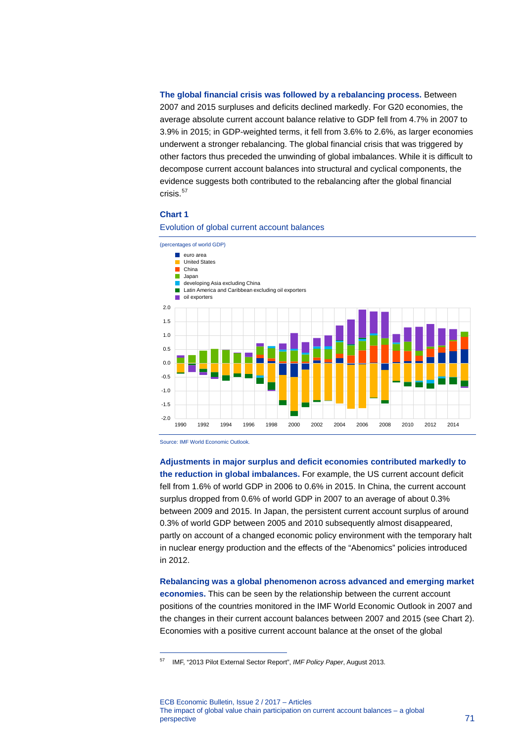**The global financial crisis was followed by a rebalancing process.** Between 2007 and 2015 surpluses and deficits declined markedly. For G20 economies, the average absolute current account balance relative to GDP fell from 4.7% in 2007 to 3.9% in 2015; in GDP-weighted terms, it fell from 3.6% to 2.6%, as larger economies underwent a stronger rebalancing. The global financial crisis that was triggered by other factors thus preceded the unwinding of global imbalances. While it is difficult to decompose current account balances into structural and cyclical components, the evidence suggests both contributed to the rebalancing after the global financial crisis. $57$ 

#### **Chart 1**



Evolution of global current account balances

Source: IMF World Economic Outlook.

-

**Adjustments in major surplus and deficit economies contributed markedly to the reduction in global imbalances.** For example, the US current account deficit fell from 1.6% of world GDP in 2006 to 0.6% in 2015. In China, the current account surplus dropped from 0.6% of world GDP in 2007 to an average of about 0.3% between 2009 and 2015. In Japan, the persistent current account surplus of around 0.3% of world GDP between 2005 and 2010 subsequently almost disappeared, partly on account of a changed economic policy environment with the temporary halt in nuclear energy production and the effects of the "Abenomics" policies introduced in 2012.

**Rebalancing was a global phenomenon across advanced and emerging market economies.** This can be seen by the relationship between the current account positions of the countries monitored in the IMF World Economic Outlook in 2007 and the changes in their current account balances between 2007 and 2015 (see Chart 2). Economies with a positive current account balance at the onset of the global

<span id="page-3-0"></span><sup>57</sup> IMF, "2013 Pilot External Sector Report", *IMF Policy Paper*, August 2013.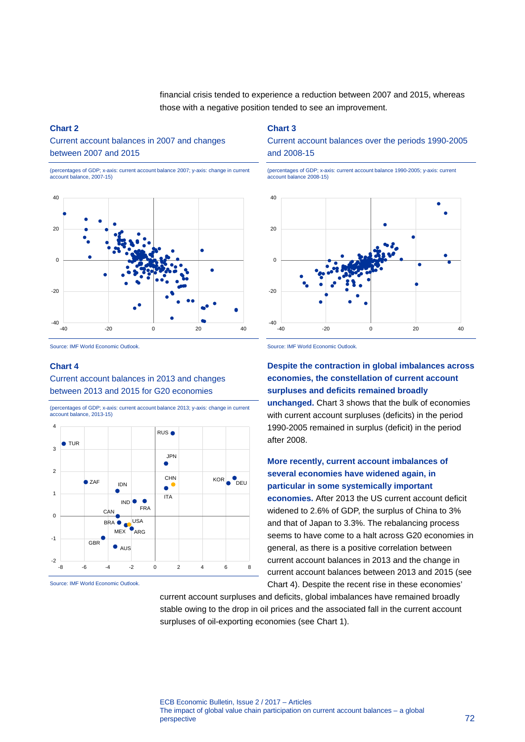financial crisis tended to experience a reduction between 2007 and 2015, whereas those with a negative position tended to see an improvement.

#### **Chart 2**

Current account balances in 2007 and changes between 2007 and 2015

(percentages of GDP; x-axis: current account balance 2007; y-axis: change in current account balance, 2007-15)



Source: IMF World Economic Outlook.

#### **Chart 4**

Current account balances in 2013 and changes between 2013 and 2015 for G20 economies



(percentages of GDP; x-axis: current account balance 2013; y-axis: change in current account balance, 2013-15)

Source: IMF World Economic Outlook.

**Chart 3** 

Current account balances over the periods 1990-2005 and 2008-15

(percentages of GDP; x-axis: current account balance 1990-2005; y-axis: current account balance 2008-15)



Source: IMF World Economic Outlook.

**Despite the contraction in global imbalances across economies, the constellation of current account surpluses and deficits remained broadly unchanged.** Chart 3 shows that the bulk of economies with current account surpluses (deficits) in the period 1990-2005 remained in surplus (deficit) in the period after 2008.

### **More recently, current account imbalances of several economies have widened again, in particular in some systemically important**

**economies.** After 2013 the US current account deficit widened to 2.6% of GDP, the surplus of China to 3% and that of Japan to 3.3%. The rebalancing process seems to have come to a halt across G20 economies in general, as there is a positive correlation between current account balances in 2013 and the change in current account balances between 2013 and 2015 (see Chart 4). Despite the recent rise in these economies'

current account surpluses and deficits, global imbalances have remained broadly stable owing to the drop in oil prices and the associated fall in the current account surpluses of oil-exporting economies (see Chart 1).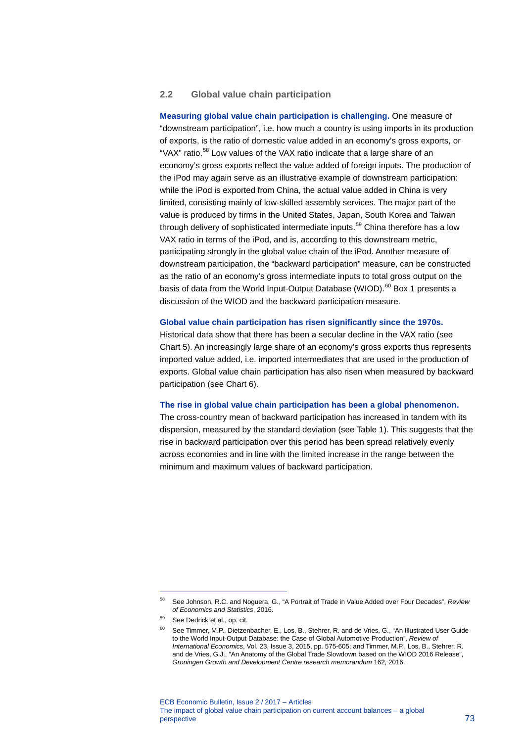#### **2.2 Global value chain participation**

**Measuring global value chain participation is challenging.** One measure of "downstream participation", i.e. how much a country is using imports in its production of exports, is the ratio of domestic value added in an economy's gross exports, or "VAX" ratio.<sup>[58](#page-5-0)</sup> Low values of the VAX ratio indicate that a large share of an economy's gross exports reflect the value added of foreign inputs. The production of the iPod may again serve as an illustrative example of downstream participation: while the iPod is exported from China, the actual value added in China is very limited, consisting mainly of low-skilled assembly services. The major part of the value is produced by firms in the United States, Japan, South Korea and Taiwan through delivery of sophisticated intermediate inputs. [59](#page-5-1) China therefore has a low VAX ratio in terms of the iPod, and is, according to this downstream metric, participating strongly in the global value chain of the iPod. Another measure of downstream participation, the "backward participation" measure, can be constructed as the ratio of an economy's gross intermediate inputs to total gross output on the basis of data from the World Input-Output Database (WIOD).<sup>[60](#page-5-2)</sup> Box 1 presents a discussion of the WIOD and the backward participation measure.

#### **Global value chain participation has risen significantly since the 1970s.**

Historical data show that there has been a secular decline in the VAX ratio (see Chart 5). An increasingly large share of an economy's gross exports thus represents imported value added, i.e. imported intermediates that are used in the production of exports. Global value chain participation has also risen when measured by backward participation (see Chart 6).

#### **The rise in global value chain participation has been a global phenomenon.**

The cross-country mean of backward participation has increased in tandem with its dispersion, measured by the standard deviation (see Table 1). This suggests that the rise in backward participation over this period has been spread relatively evenly across economies and in line with the limited increase in the range between the minimum and maximum values of backward participation.

<span id="page-5-0"></span><sup>58</sup> See Johnson, R.C. and Noguera, G., "A Portrait of Trade in Value Added over Four Decades", *Review of Economics and Statistics*, 2016.

<span id="page-5-2"></span><span id="page-5-1"></span><sup>59</sup> See Dedrick et al., op. cit.

<sup>60</sup> See Timmer, M.P., Dietzenbacher, E., Los, B., Stehrer, R. and de Vries, G., "An Illustrated User Guide to the World Input-Output Database: the Case of Global Automotive Production", *Review of International Economics*, Vol. 23, Issue 3, 2015, pp. 575-605; and Timmer, M.P., Los, B., Stehrer, R. and de Vries, G.J., "An Anatomy of the Global Trade Slowdown based on the WIOD 2016 Release", *Groningen Growth and Development Centre research memorandum* 162, 2016.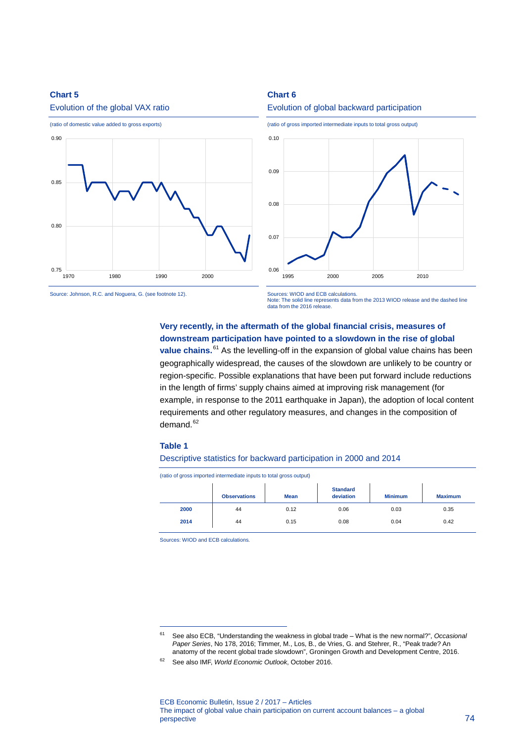#### **Chart 5**



#### Evolution of the global VAX ratio





<sup>(</sup>ratio of gross imported intermediate inputs to total gross output)



Source: Johnson, R.C. and Noguera, G. (see footnote 12).

Sources: WIOD and ECB calculations. Note: The solid line represents data from the 2013 WIOD release and the dashed line data from the 2016 release.

### **Very recently, in the aftermath of the global financial crisis, measures of downstream participation have pointed to a slowdown in the rise of global**

value chains.<sup>[61](#page-6-0)</sup> As the levelling-off in the expansion of global value chains has been geographically widespread, the causes of the slowdown are unlikely to be country or region-specific. Possible explanations that have been put forward include reductions in the length of firms' supply chains aimed at improving risk management (for example, in response to the 2011 earthquake in Japan), the adoption of local content requirements and other regulatory measures, and changes in the composition of demand.<sup>[62](#page-6-1)</sup>

#### **Table 1**

-

#### Descriptive statistics for backward participation in 2000 and 2014

(ratio of gross imported intermediate inputs to total gross output)

|      | <b>Observations</b> | <b>Mean</b> | <b>Standard</b><br>deviation | <b>Minimum</b> | <b>Maximum</b> |
|------|---------------------|-------------|------------------------------|----------------|----------------|
| 2000 | 44                  | 0.12        | 0.06                         | 0.03           | 0.35           |
| 2014 | 44                  | 0.15        | 0.08                         | 0.04           | 0.42           |
|      |                     |             |                              |                |                |

Sources: WIOD and ECB calculations.

<span id="page-6-0"></span><sup>61</sup> See also ECB, "Understanding the weakness in global trade – What is the new normal?", *Occasional Paper Series*, No 178, 2016; Timmer, M., Los, B., de Vries, G. and Stehrer, R., "Peak trade? An anatomy of the recent global trade slowdown", Groningen Growth and Development Centre, 2016.

<span id="page-6-1"></span><sup>62</sup> See also IMF, *World Economic Outlook*, October 2016.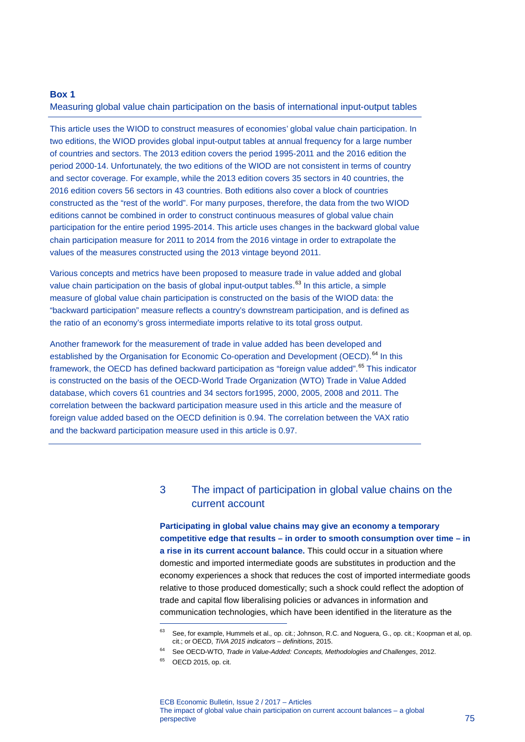#### **Box 1**

Measuring global value chain participation on the basis of international input-output tables

This article uses the WIOD to construct measures of economies' global value chain participation. In two editions, the WIOD provides global input-output tables at annual frequency for a large number of countries and sectors. The 2013 edition covers the period 1995-2011 and the 2016 edition the period 2000-14. Unfortunately, the two editions of the WIOD are not consistent in terms of country and sector coverage. For example, while the 2013 edition covers 35 sectors in 40 countries, the 2016 edition covers 56 sectors in 43 countries. Both editions also cover a block of countries constructed as the "rest of the world". For many purposes, therefore, the data from the two WIOD editions cannot be combined in order to construct continuous measures of global value chain participation for the entire period 1995-2014. This article uses changes in the backward global value chain participation measure for 2011 to 2014 from the 2016 vintage in order to extrapolate the values of the measures constructed using the 2013 vintage beyond 2011.

Various concepts and metrics have been proposed to measure trade in value added and global value chain participation on the basis of global input-output tables.<sup>[63](#page-7-0)</sup> In this article, a simple measure of global value chain participation is constructed on the basis of the WIOD data: the "backward participation" measure reflects a country's downstream participation, and is defined as the ratio of an economy's gross intermediate imports relative to its total gross output.

Another framework for the measurement of trade in value added has been developed and established by the Organisation for Economic Co-operation and Development (OECD).<sup>[64](#page-7-1)</sup> In this framework, the OECD has defined backward participation as "foreign value added".<sup>[65](#page-7-2)</sup> This indicator is constructed on the basis of the OECD-World Trade Organization (WTO) Trade in Value Added database, which covers 61 countries and 34 sectors for1995, 2000, 2005, 2008 and 2011. The correlation between the backward participation measure used in this article and the measure of foreign value added based on the OECD definition is 0.94. The correlation between the VAX ratio and the backward participation measure used in this article is 0.97.

# 3 The impact of participation in global value chains on the current account

**Participating in global value chains may give an economy a temporary competitive edge that results – in order to smooth consumption over time – in a rise in its current account balance.** This could occur in a situation where domestic and imported intermediate goods are substitutes in production and the economy experiences a shock that reduces the cost of imported intermediate goods relative to those produced domestically; such a shock could reflect the adoption of trade and capital flow liberalising policies or advances in information and communication technologies, which have been identified in the literature as the

<sup>&</sup>lt;sup>63</sup> See, for example, Hummels et al., op. cit.; Johnson, R.C. and Noguera, G., op. cit.; Koopman et al, op. cit.; or OECD, *TiVA 2015 indicators – definitions*, 2015.

<span id="page-7-2"></span><span id="page-7-1"></span><span id="page-7-0"></span><sup>64</sup> See OECD-WTO, *Trade in Value-Added: Concepts, Methodologies and Challenges*, 2012.

<sup>65</sup> OECD 2015, op. cit.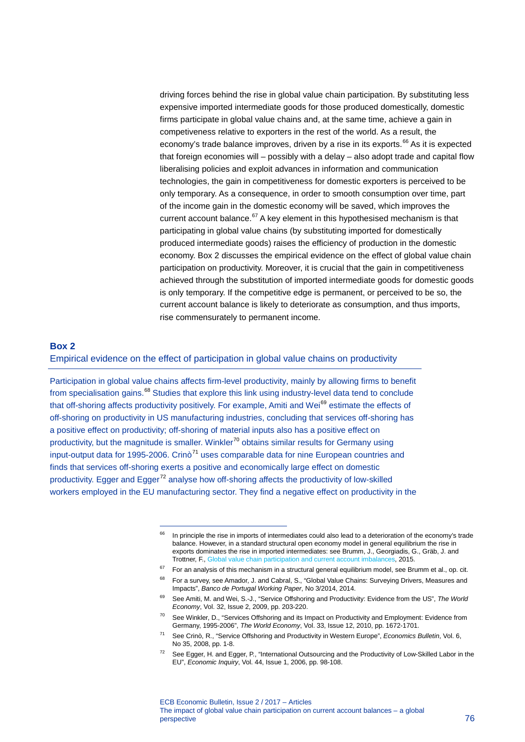driving forces behind the rise in global value chain participation. By substituting less expensive imported intermediate goods for those produced domestically, domestic firms participate in global value chains and, at the same time, achieve a gain in competiveness relative to exporters in the rest of the world. As a result, the economy's trade balance improves, driven by a rise in its exports.<sup>[66](#page-8-0)</sup> As it is expected that foreign economies will – possibly with a delay – also adopt trade and capital flow liberalising policies and exploit advances in information and communication technologies, the gain in competitiveness for domestic exporters is perceived to be only temporary. As a consequence, in order to smooth consumption over time, part of the income gain in the domestic economy will be saved, which improves the current account balance. $67$  A key element in this hypothesised mechanism is that participating in global value chains (by substituting imported for domestically produced intermediate goods) raises the efficiency of production in the domestic economy. Box 2 discusses the empirical evidence on the effect of global value chain participation on productivity. Moreover, it is crucial that the gain in competitiveness achieved through the substitution of imported intermediate goods for domestic goods is only temporary. If the competitive edge is permanent, or perceived to be so, the current account balance is likely to deteriorate as consumption, and thus imports, rise commensurately to permanent income.

#### **Box 2**

Empirical evidence on the effect of participation in global value chains on productivity

Participation in global value chains affects firm-level productivity, mainly by allowing firms to benefit from specialisation gains.<sup>[68](#page-8-2)</sup> Studies that explore this link using industry-level data tend to conclude that off-shoring affects productivity positively. For example, Amiti and Wei<sup>[69](#page-8-3)</sup> estimate the effects of off-shoring on productivity in US manufacturing industries, concluding that services off-shoring has a positive effect on productivity; off-shoring of material inputs also has a positive effect on productivity, but the magnitude is smaller. Winkler<sup>[70](#page-8-4)</sup> obtains similar results for Germany using input-output data for 1995-2006. Crinò<sup>[71](#page-8-5)</sup> uses comparable data for nine European countries and finds that services off-shoring exerts a positive and economically large effect on domestic productivity. Egger and Egger<sup>[72](#page-8-6)</sup> analyse how off-shoring affects the productivity of low-skilled workers employed in the EU manufacturing sector. They find a negative effect on productivity in the

<span id="page-8-0"></span><sup>&</sup>lt;sup>66</sup> In principle the rise in imports of intermediates could also lead to a deterioration of the economy's trade balance. However, in a standard structural open economy model in general equilibrium the rise in exports dominates the rise in imported intermediates: see Brumm, J., Georgiadis, G., Gräb, J. and Trottner, F.[, Global value chain participation and current account imbalances,](http://www.cepr.org/sites/default/files/(BRUMM_GEORGIADIS_GRAB_TROTTNER)_GVC_Participation_and_Current_Account_Imbalances.pdf) 2015.

<span id="page-8-2"></span><span id="page-8-1"></span> $67$  For an analysis of this mechanism in a structural general equilibrium model, see Brumm et al., op. cit. 68 For a survey, see Amador, J. and Cabral, S., "Global Value Chains: Surveying Drivers, Measures and Impacts", *Banco de Portugal Working Paper*, No 3/2014, 2014.

<span id="page-8-3"></span><sup>69</sup> See Amiti, M. and Wei, S.-J., "Service Offshoring and Productivity: Evidence from the US", *The World Economy*, Vol. 32, Issue 2, 2009, pp. 203-220.

<span id="page-8-4"></span><sup>70</sup> See Winkler, D., "Services Offshoring and its Impact on Productivity and Employment: Evidence from Germany, 1995-2006", *The World Economy*, Vol. 33, Issue 12, 2010, pp. 1672-1701.

<span id="page-8-5"></span><sup>71</sup> See Crinò, R., "Service Offshoring and Productivity in Western Europe", *Economics Bulletin*, Vol. 6, No 35, 2008, pp. 1-8.

<span id="page-8-6"></span><sup>&</sup>lt;sup>72</sup> See Egger, H. and Egger, P., "International Outsourcing and the Productivity of Low-Skilled Labor in the EU", *Economic Inquiry*, Vol. 44, Issue 1, 2006, pp. 98-108.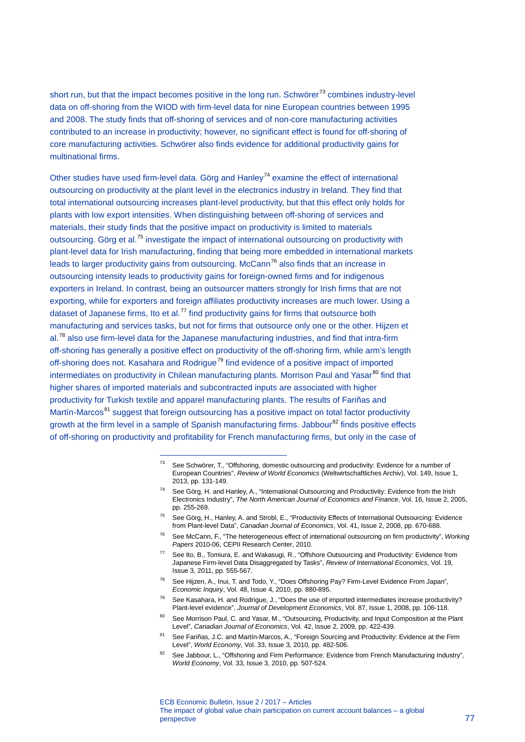short run, but that the impact becomes positive in the long run. Schwörer<sup>[73](#page-9-0)</sup> combines industry-level data on off-shoring from the WIOD with firm-level data for nine European countries between 1995 and 2008. The study finds that off-shoring of services and of non-core manufacturing activities contributed to an increase in productivity; however, no significant effect is found for off-shoring of core manufacturing activities. Schwörer also finds evidence for additional productivity gains for multinational firms.

Other studies have used firm-level data. Görg and Hanley<sup>[74](#page-9-1)</sup> examine the effect of international outsourcing on productivity at the plant level in the electronics industry in Ireland. They find that total international outsourcing increases plant-level productivity, but that this effect only holds for plants with low export intensities. When distinguishing between off-shoring of services and materials, their study finds that the positive impact on productivity is limited to materials outsourcing. Görg et al.<sup>[75](#page-9-2)</sup> investigate the impact of international outsourcing on productivity with plant-level data for Irish manufacturing, finding that being more embedded in international markets leads to larger productivity gains from outsourcing. McCann<sup>[76](#page-9-3)</sup> also finds that an increase in outsourcing intensity leads to productivity gains for foreign-owned firms and for indigenous exporters in Ireland. In contrast, being an outsourcer matters strongly for Irish firms that are not exporting, while for exporters and foreign affiliates productivity increases are much lower. Using a dataset of Japanese firms, Ito et al.<sup>[77](#page-9-4)</sup> find productivity gains for firms that outsource both manufacturing and services tasks, but not for firms that outsource only one or the other. Hijzen et al.<sup>[78](#page-9-5)</sup> also use firm-level data for the Japanese manufacturing industries, and find that intra-firm off-shoring has generally a positive effect on productivity of the off-shoring firm, while arm's length off-shoring does not. Kasahara and Rodrigue<sup>[79](#page-9-6)</sup> find evidence of a positive impact of imported intermediates on productivity in Chilean manufacturing plants. Morrison Paul and Yasar $^{80}$  $^{80}$  $^{80}$  find that higher shares of imported materials and subcontracted inputs are associated with higher productivity for Turkish textile and apparel manufacturing plants. The results of Fariñas and Martín-Marcos<sup>[81](#page-9-8)</sup> suggest that foreign outsourcing has a positive impact on total factor productivity growth at the firm level in a sample of Spanish manufacturing firms. Jabbour<sup>[82](#page-9-9)</sup> finds positive effects of off-shoring on productivity and profitability for French manufacturing firms, but only in the case of

- <span id="page-9-2"></span>75 See Görg, H., Hanley, A. and Strobl, E., "Productivity Effects of International Outsourcing: Evidence from Plant-level Data", *Canadian Journal of Economics*, Vol. 41, Issue 2, 2008, pp. 670-688.
- <span id="page-9-3"></span>76 See McCann, F., "The heterogeneous effect of international outsourcing on firm productivity", *Working Papers* 2010-06, CEPII Research Center, 2010.
- <span id="page-9-4"></span>77 See Ito, B., Tomiura, E. and Wakasugi, R., "Offshore Outsourcing and Productivity: Evidence from Japanese Firm-level Data Disaggregated by Tasks", *Review of International Economics*, Vol. 19, Issue 3, 2011, pp. 555-567.
- <span id="page-9-5"></span>78 See Hijzen, A., Inui, T. and Todo, Y., "Does Offshoring Pay? Firm-Level Evidence From Japan", *Economic Inquiry*, Vol. 48, Issue 4, 2010, pp. 880-895.
- <span id="page-9-6"></span><sup>79</sup> See Kasahara, H. and Rodrigue, J., "Does the use of imported intermediates increase productivity? Plant-level evidence", *Journal of Development Economics*, Vol. 87, Issue 1, 2008, pp. 106-118.
- <span id="page-9-7"></span>80 See Morrison Paul, C. and Yasar, M., "Outsourcing, Productivity, and Input Composition at the Plant Level", *Canadian Journal of Economics*, Vol. 42, Issue 2, 2009, pp. 422-439.
- <span id="page-9-8"></span>81 See Fariñas, J.C. and Martín-Marcos, A., "Foreign Sourcing and Productivity: Evidence at the Firm Level", *World Economy*, Vol. 33, Issue 3, 2010, pp. 482-506.
- <span id="page-9-9"></span>See Jabbour, L., "Offshoring and Firm Performance: Evidence from French Manufacturing Industry", *World Economy*, Vol. 33, Issue 3, 2010, pp. 507-524.

<span id="page-9-0"></span><sup>73</sup> See Schwörer, T., "Offshoring, domestic outsourcing and productivity: Evidence for a number of European Countries", *Review of World Economics* (Weltwirtschaftliches Archiv), Vol. 149, Issue 1, 2013, pp. 131-149.

<span id="page-9-1"></span><sup>74</sup> See Görg, H. and Hanley, A., "International Outsourcing and Productivity: Evidence from the Irish Electronics Industry", *The North American Journal of Economics and Finance*, Vol. 16, Issue 2, 2005, pp. 255-269.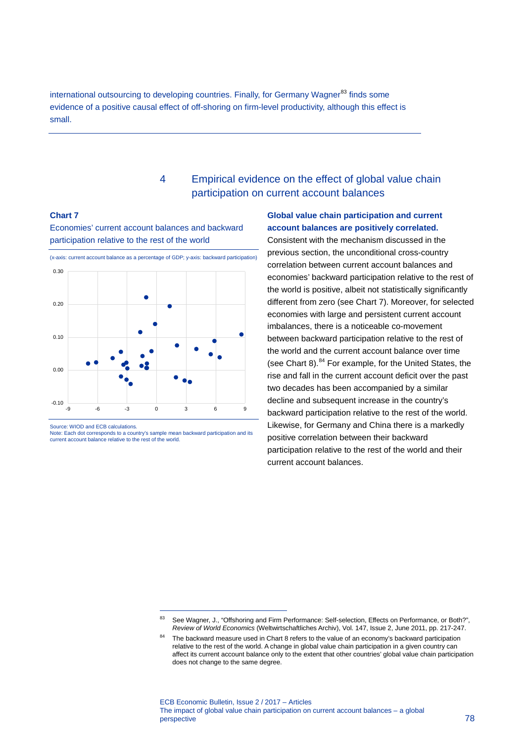international outsourcing to developing countries. Finally, for Germany Wagner<sup>[83](#page-10-0)</sup> finds some evidence of a positive causal effect of off-shoring on firm-level productivity, although this effect is small.

# 4 Empirical evidence on the effect of global value chain participation on current account balances

#### **Chart 7**

Economies' current account balances and backward participation relative to the rest of the world



Source: WIOD and ECB calculations.

Note: Each dot corresponds to a country's sample mean backward participation and its current account balance relative to the rest of the world.

<span id="page-10-0"></span>-

# **Global value chain participation and current account balances are positively correlated.**

Consistent with the mechanism discussed in the previous section, the unconditional cross-country correlation between current account balances and economies' backward participation relative to the rest of the world is positive, albeit not statistically significantly different from zero (see Chart 7). Moreover, for selected economies with large and persistent current account imbalances, there is a noticeable co-movement between backward participation relative to the rest of the world and the current account balance over time (see Chart 8). $84$  For example, for the United States, the rise and fall in the current account deficit over the past two decades has been accompanied by a similar decline and subsequent increase in the country's backward participation relative to the rest of the world. Likewise, for Germany and China there is a markedly positive correlation between their backward participation relative to the rest of the world and their current account balances.

See Wagner, J., "Offshoring and Firm Performance: Self-selection, Effects on Performance, or Both?", *Review of World Economics* (Weltwirtschaftliches Archiv), Vol. 147, Issue 2, June 2011, pp. 217-247.

<span id="page-10-1"></span>The backward measure used in Chart 8 refers to the value of an economy's backward participation relative to the rest of the world. A change in global value chain participation in a given country can affect its current account balance only to the extent that other countries' global value chain participation does not change to the same degree.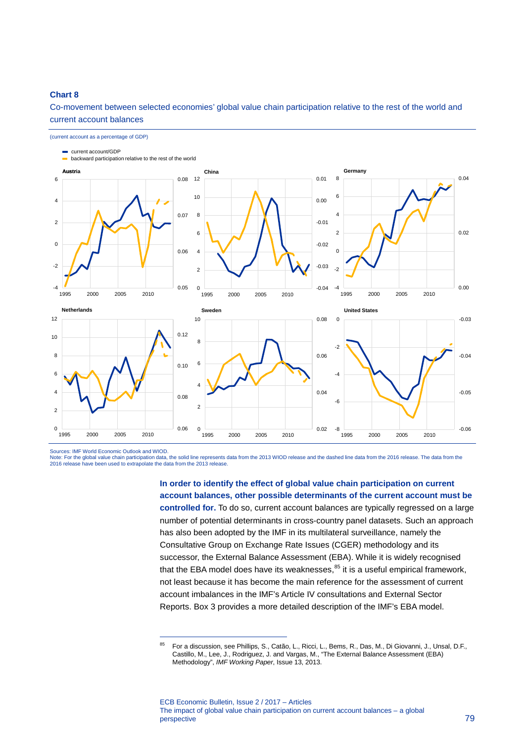#### **Chart 8**

Co-movement between selected economies' global value chain participation relative to the rest of the world and current account balances



Sources: IMF World Economic Outlook and WIOD.

-

Note: For the global value chain participation data, the solid line represents data from the 2013 WIOD release and the dashed line data from the 2016 release. The data from the 2016 release have been used to extrapolate the data from the 2013 release.

> **In order to identify the effect of global value chain participation on current account balances, other possible determinants of the current account must be controlled for.** To do so, current account balances are typically regressed on a large number of potential determinants in cross-country panel datasets. Such an approach has also been adopted by the IMF in its multilateral surveillance, namely the Consultative Group on Exchange Rate Issues (CGER) methodology and its successor, the External Balance Assessment (EBA). While it is widely recognised that the EBA model does have its [we](#page-11-0)aknesses, <sup>85</sup> it is a useful empirical framework, not least because it has become the main reference for the assessment of current account imbalances in the IMF's Article IV consultations and External Sector Reports. Box 3 provides a more detailed description of the IMF's EBA model.

<span id="page-11-0"></span><sup>85</sup> For a discussion, see Phillips, S., Catão, L., Ricci, L., Bems, R., Das, M., Di Giovanni, J., Unsal, D.F., Castillo, M., Lee, J., Rodriguez, J. and Vargas, M., "The External Balance Assessment (EBA) Methodology", *IMF Working Paper*, Issue 13, 2013.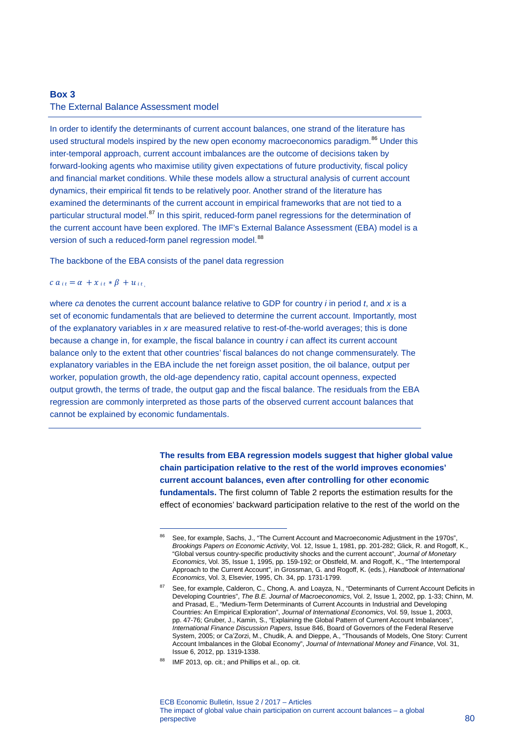# **Box 3**  The External Balance Assessment model

In order to identify the determinants of current account balances, one strand of the literature has used structural models inspired by the new open economy macroeconomics paradigm.<sup>[86](#page-12-0)</sup> Under this inter-temporal approach, current account imbalances are the outcome of decisions taken by forward-looking agents who maximise utility given expectations of future productivity, fiscal policy and financial market conditions. While these models allow a structural analysis of current account dynamics, their empirical fit tends to be relatively poor. Another strand of the literature has examined the determinants of the current account in empirical frameworks that are not tied to a particular structural model.<sup>[87](#page-12-1)</sup> In this spirit, reduced-form panel regressions for the determination of the current account have been explored. The IMF's External Balance Assessment (EBA) model is a version of such a reduced-form panel regression model.<sup>[88](#page-12-2)</sup>

The backbone of the EBA consists of the panel data regression

-

#### $ca_{it} = \alpha + x_{it} * \beta + u_{it}$

where *ca* denotes the current account balance relative to GDP for country *i* in period *t*, and *x* is a set of economic fundamentals that are believed to determine the current account. Importantly, most of the explanatory variables in *x* are measured relative to rest-of-the-world averages; this is done because a change in, for example, the fiscal balance in country *i* can affect its current account balance only to the extent that other countries' fiscal balances do not change commensurately. The explanatory variables in the EBA include the net foreign asset position, the oil balance, output per worker, population growth, the old-age dependency ratio, capital account openness, expected output growth, the terms of trade, the output gap and the fiscal balance. The residuals from the EBA regression are commonly interpreted as those parts of the observed current account balances that cannot be explained by economic fundamentals.

> **The results from EBA regression models suggest that higher global value chain participation relative to the rest of the world improves economies' current account balances, even after controlling for other economic fundamentals.** The first column of Table 2 reports the estimation results for the effect of economies' backward participation relative to the rest of the world on the

<span id="page-12-2"></span>88 IMF 2013, op. cit.; and Phillips et al., op. cit.

<span id="page-12-0"></span><sup>86</sup> See, for example, Sachs, J., "The Current Account and Macroeconomic Adjustment in the 1970s", *Brookings Papers on Economic Activity*, Vol. 12, Issue 1, 1981, pp. 201-282; Glick, R. and Rogoff, K., "Global versus country-specific productivity shocks and the current account", *Journal of Monetary Economics*, Vol. 35, Issue 1, 1995, pp. 159-192; or Obstfeld, M. and Rogoff, K., "The Intertemporal Approach to the Current Account", in Grossman, G. and Rogoff, K. (eds.), *Handbook of International Economics*, Vol. 3, Elsevier, 1995, Ch. 34, pp. 1731-1799.

<span id="page-12-1"></span><sup>87</sup> See, for example, Calderon, C., Chong, A. and Loayza, N., "Determinants of Current Account Deficits in Developing Countries", *The B.E. Journal of Macroeconomics*, Vol. 2, Issue 1, 2002, pp. 1-33; Chinn, M. and Prasad, E., "Medium-Term Determinants of Current Accounts in Industrial and Developing Countries: An Empirical Exploration", *Journal of International Economics*, Vol. 59, Issue 1, 2003, pp. 47-76; Gruber, J., Kamin, S., "Explaining the Global Pattern of Current Account Imbalances", *International Finance Discussion Papers*, Issue 846, Board of Governors of the Federal Reserve System, 2005; or Ca'Zorzi, M., Chudik, A. and Dieppe, A., "Thousands of Models, One Story: Current Account Imbalances in the Global Economy", *Journal of International Money and Finance*, Vol. 31, Issue 6, 2012, pp. 1319-1338.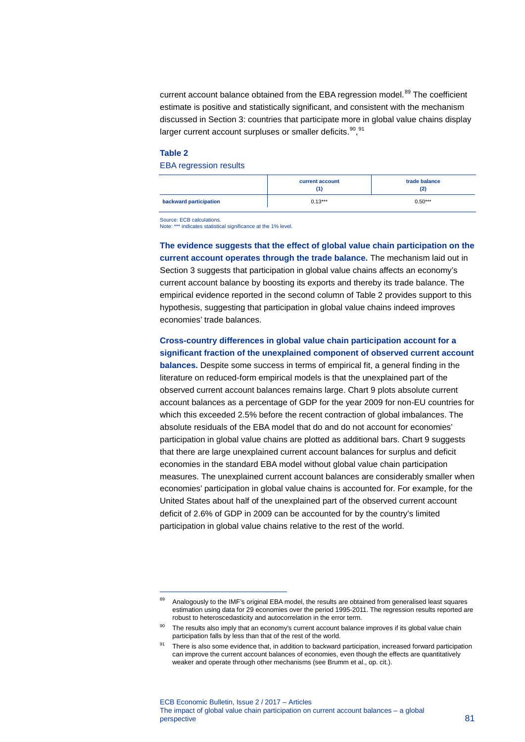current account balance obtained from the EBA regression model.<sup>[89](#page-13-0)</sup> The coefficient estimate is positive and statistically significant, and consistent with the mechanism discussed in Section 3: countries that participate more in global value chains display larger current account surpluses or smaller deficits.<sup>90</sup>,<sup>[91](#page-13-2)</sup>

#### **Table 2**

-

#### EBA regression results

|                        | current account | trade balance<br>(2) |  |
|------------------------|-----------------|----------------------|--|
| backward participation | $0.13***$       | $0.50***$            |  |

Source: ECB calculations.<br>Note: \*\*\* indicates statistic \*\* indicates statistical significance at the 1% level.

**The evidence suggests that the effect of global value chain participation on the current account operates through the trade balance.** The mechanism laid out in Section 3 suggests that participation in global value chains affects an economy's current account balance by boosting its exports and thereby its trade balance. The empirical evidence reported in the second column of Table 2 provides support to this hypothesis, suggesting that participation in global value chains indeed improves economies' trade balances.

# **Cross-country differences in global value chain participation account for a**

**significant fraction of the unexplained component of observed current account balances.** Despite some success in terms of empirical fit, a general finding in the literature on reduced-form empirical models is that the unexplained part of the observed current account balances remains large. Chart 9 plots absolute current account balances as a percentage of GDP for the year 2009 for non-EU countries for which this exceeded 2.5% before the recent contraction of global imbalances. The absolute residuals of the EBA model that do and do not account for economies' participation in global value chains are plotted as additional bars. Chart 9 suggests that there are large unexplained current account balances for surplus and deficit economies in the standard EBA model without global value chain participation measures. The unexplained current account balances are considerably smaller when economies' participation in global value chains is accounted for. For example, for the United States about half of the unexplained part of the observed current account deficit of 2.6% of GDP in 2009 can be accounted for by the country's limited participation in global value chains relative to the rest of the world.

<span id="page-13-0"></span><sup>&</sup>lt;sup>89</sup> Analogously to the IMF's original EBA model, the results are obtained from generalised least squares estimation using data for 29 economies over the period 1995-2011. The regression results reported are robust to heteroscedasticity and autocorrelation in the error term.

<span id="page-13-1"></span><sup>90</sup> The results also imply that an economy's current account balance improves if its global value chain participation falls by less than that of the rest of the world.

<span id="page-13-2"></span><sup>91</sup> There is also some evidence that, in addition to backward participation, increased forward participation can improve the current account balances of economies, even though the effects are quantitatively weaker and operate through other mechanisms (see Brumm et al., op. cit.).